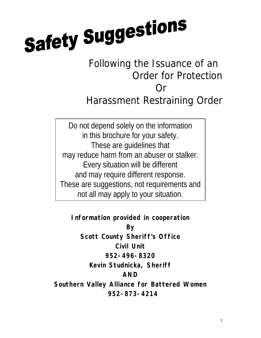# **Safety Suggestions**

# Following the Issuance of an Order for Protection Or Harassment Restraining Order

Do not depend solely on the information in this brochure for your safety. These are guidelines that may reduce harm from an abuser or stalker. Every situation will be different and may require different response. These are suggestions, not requirements and not all may apply to your situation.

**Information provided in cooperation By Scott County Sheriff's Office Civil Unit 952-496-8320 Kevin Studnicka, Sheriff AND Southern Valley Alliance for Battered Women 952-873-4214**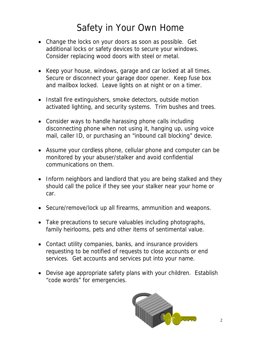# Safety in Your Own Home

- Change the locks on your doors as soon as possible. Get additional locks or safety devices to secure your windows. Consider replacing wood doors with steel or metal.
- Keep your house, windows, garage and car locked at all times. Secure or disconnect your garage door opener. Keep fuse box and mailbox locked. Leave lights on at night or on a timer.
- Install fire extinguishers, smoke detectors, outside motion activated lighting, and security systems. Trim bushes and trees.
- Consider ways to handle harassing phone calls including disconnecting phone when not using it, hanging up, using voice mail, caller ID, or purchasing an "inbound call blocking" device.
- Assume your cordless phone, cellular phone and computer can be monitored by your abuser/stalker and avoid confidential communications on them.
- Inform neighbors and landlord that you are being stalked and they should call the police if they see your stalker near your home or car.
- Secure/remove/lock up all firearms, ammunition and weapons.
- Take precautions to secure valuables including photographs, family heirlooms, pets and other items of sentimental value.
- Contact utility companies, banks, and insurance providers requesting to be notified of requests to close accounts or end services. Get accounts and services put into your name.
- Devise age appropriate safety plans with your children. Establish "code words" for emergencies.

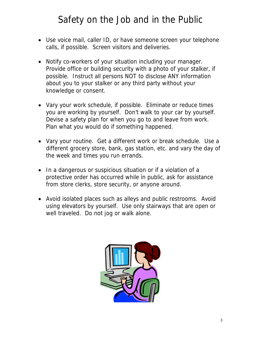### Safety on the Job and in the Public

- Use voice mail, caller ID, or have someone screen your telephone calls, if possible. Screen visitors and deliveries.
- Notify co-workers of your situation including your manager. Provide office or building security with a photo of your stalker, if possible. Instruct all persons NOT to disclose ANY information about you to your stalker or any third party without your knowledge or consent.
- Vary your work schedule, if possible. Eliminate or reduce times you are working by yourself. Don't walk to your car by yourself. Devise a safety plan for when you go to and leave from work. Plan what you would do if something happened.
- Vary your routine. Get a different work or break schedule. Use a different grocery store, bank, gas station, etc. and vary the day of the week and times you run errands.
- In a dangerous or suspicious situation or if a violation of a protective order has occurred while in public, ask for assistance from store clerks, store security, or anyone around.
- Avoid isolated places such as alleys and public restrooms. Avoid using elevators by yourself. Use only stairways that are open or well traveled. Do not jog or walk alone.

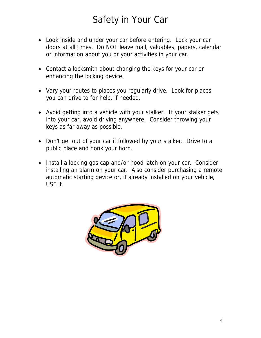## Safety in Your Car

- Look inside and under your car before entering. Lock your car doors at all times. Do NOT leave mail, valuables, papers, calendar or information about you or your activities in your car.
- Contact a locksmith about changing the keys for your car or enhancing the locking device.
- Vary your routes to places you regularly drive. Look for places you can drive to for help, if needed.
- Avoid getting into a vehicle with your stalker. If your stalker gets into your car, avoid driving anywhere. Consider throwing your keys as far away as possible.
- Don't get out of your car if followed by your stalker. Drive to a public place and honk your horn.
- Install a locking gas cap and/or hood latch on your car. Consider installing an alarm on your car. Also consider purchasing a remote automatic starting device or, if already installed on your vehicle, USE it.

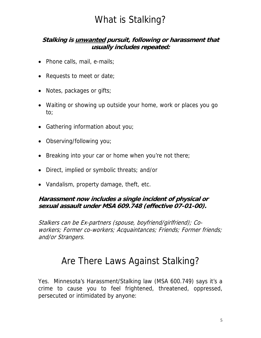## What is Stalking?

**Stalking is unwanted pursuit, following or harassment that usually includes repeated:** 

- Phone calls, mail, e-mails;
- Requests to meet or date;
- Notes, packages or gifts;
- Waiting or showing up outside your home, work or places you go to;
- Gathering information about you;
- Observing/following you;
- Breaking into your car or home when you're not there;
- Direct, implied or symbolic threats; and/or
- Vandalism, property damage, theft, etc.

**Harassment now includes a single incident of physical or sexual assault under MSA 609.748 (effective 07-01-00).** 

Stalkers can be Ex-partners (spouse, boyfriend/girlfriend); Coworkers; Former co-workers; Acquaintances; Friends; Former friends; and/or Strangers.

#### Are There Laws Against Stalking?

Yes. Minnesota's Harassment/Stalking law (MSA 600.749) says it's a crime to cause you to feel frightened, threatened, oppressed, persecuted or intimidated by anyone: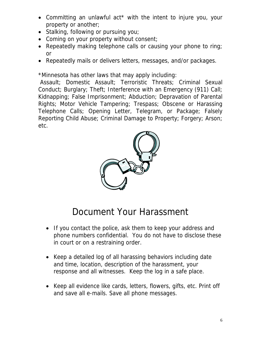- Committing an unlawful act\* with the intent to injure you, your property or another;
- Stalking, following or pursuing you;
- Coming on your property without consent;
- Repeatedly making telephone calls or causing your phone to ring; or
- Repeatedly mails or delivers letters, messages, and/or packages.

\*Minnesota has other laws that may apply including:

 Assault; Domestic Assault; Terroristic Threats; Criminal Sexual Conduct; Burglary; Theft; Interference with an Emergency (911) Call; Kidnapping; False Imprisonment; Abduction; Depravation of Parental Rights; Motor Vehicle Tampering; Trespass; Obscene or Harassing Telephone Calls; Opening Letter, Telegram, or Package; Falsely Reporting Child Abuse; Criminal Damage to Property; Forgery; Arson; etc.



# Document Your Harassment

- If you contact the police, ask them to keep your address and phone numbers confidential. You do not have to disclose these in court or on a restraining order.
- Keep a detailed log of all harassing behaviors including date and time, location, description of the harassment, your response and all witnesses. Keep the log in a safe place.
- Keep all evidence like cards, letters, flowers, gifts, etc. Print off and save all e-mails. Save all phone messages.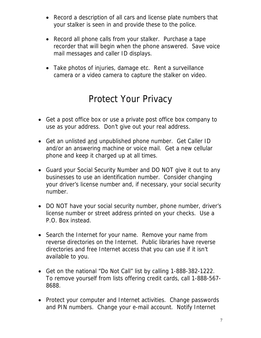- Record a description of all cars and license plate numbers that your stalker is seen in and provide these to the police.
- Record all phone calls from your stalker. Purchase a tape recorder that will begin when the phone answered. Save voice mail messages and caller ID displays.
- Take photos of injuries, damage etc. Rent a surveillance camera or a video camera to capture the stalker on video.

#### Protect Your Privacy

- Get a post office box or use a private post office box company to use as your address. Don't give out your real address.
- Get an unlisted and unpublished phone number. Get Caller ID and/or an answering machine or voice mail. Get a new cellular phone and keep it charged up at all times.
- Guard your Social Security Number and DO NOT give it out to any businesses to use an identification number. Consider changing your driver's license number and, if necessary, your social security number.
- DO NOT have your social security number, phone number, driver's license number or street address printed on your checks. Use a P.O. Box instead.
- Search the Internet for your name. Remove your name from reverse directories on the Internet. Public libraries have reverse directories and free Internet access that you can use if it isn't available to you.
- Get on the national "Do Not Call" list by calling 1-888-382-1222. To remove yourself from lists offering credit cards, call 1-888-567- 8688.
- Protect your computer and Internet activities. Change passwords and PIN numbers. Change your e-mail account. Notify Internet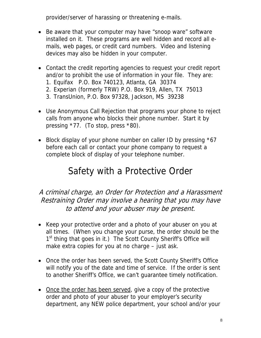provider/server of harassing or threatening e-mails.

- Be aware that your computer may have "snoop ware" software installed on it. These programs are well hidden and record all emails, web pages, or credit card numbers. Video and listening devices may also be hidden in your computer.
- Contact the credit reporting agencies to request your credit report and/or to prohibit the use of information in your file. They are:
	- 1. Equifax P.O. Box 740123, Atlanta, GA 30374
	- 2. Experian (formerly TRW) P.O. Box 919, Allen, TX 75013
	- 3. TransUnion, P.O. Box 97328, Jackson, MS 39238
- Use Anonymous Call Rejection that programs your phone to reject calls from anyone who blocks their phone number. Start it by pressing \*77. (To stop, press \*80).
- Block display of your phone number on caller ID by pressing \*67 before each call or contact your phone company to request a complete block of display of your telephone number.

#### Safety with a Protective Order

#### A criminal charge, an Order for Protection and a Harassment Restraining Order may involve a hearing that you may have to attend and your abuser may be present.

- Keep your protective order and a photo of your abuser on you at all times. (When you change your purse, the order should be the 1<sup>st</sup> thing that goes in it.) The Scott County Sheriff's Office will make extra copies for you at no charge – just ask.
- Once the order has been served, the Scott County Sheriff's Office will notify you of the date and time of service. If the order is sent to another Sheriff's Office, we can't guarantee timely notification.
- Once the order has been served, give a copy of the protective order and photo of your abuser to your employer's security department, any NEW police department, your school and/or your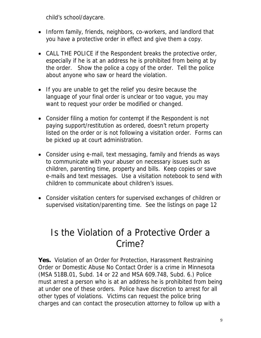child's school/daycare.

- Inform family, friends, neighbors, co-workers, and landlord that you have a protective order in effect and give them a copy.
- CALL THE POLICE if the Respondent breaks the protective order, especially if he is at an address he is prohibited from being at by the order. Show the police a copy of the order. Tell the police about anyone who saw or heard the violation.
- If you are unable to get the relief you desire because the language of your final order is unclear or too vague, you may want to request your order be modified or changed.
- Consider filing a motion for contempt if the Respondent is not paying support/restitution as ordered, doesn't return property listed on the order or is not following a visitation order. Forms can be picked up at court administration.
- Consider using e-mail, text messaging, family and friends as ways to communicate with your abuser on necessary issues such as children, parenting time, property and bills. Keep copies or save e-mails and text messages. Use a visitation notebook to send with children to communicate about children's issues.
- Consider visitation centers for supervised exchanges of children or supervised visitation/parenting time. See the listings on page 12

#### Is the Violation of a Protective Order a Crime?

**Yes.** Violation of an Order for Protection, Harassment Restraining Order or Domestic Abuse No Contact Order is a crime in Minnesota (MSA 518B.01, Subd. 14 or 22 and MSA 609.748, Subd. 6.) Police must arrest a person who is at an address he is prohibited from being at under one of these orders. Police have discretion to arrest for all other types of violations. Victims can request the police bring charges and can contact the prosecution attorney to follow up with a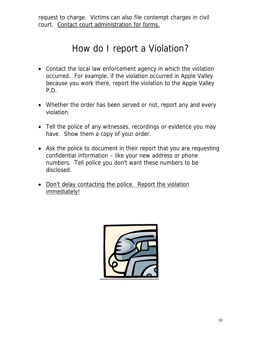request to charge. Victims can also file contempt charges in civil court. Contact court administration for forms.

#### How do I report a Violation?

- Contact the local law enforcement agency in which the violation occurred. For example, if the violation occurred in Apple Valley because you work there, report the violation to the Apple Valley P.D.
- Whether the order has been served or not, report any and every violation.
- Tell the police of any witnesses, recordings or evidence you may have. Show them a copy of your order.
- Ask the police to document in their report that you are requesting confidential information – like your new address or phone numbers. Tell police you don't want these numbers to be disclosed.
- Don't delay contacting the police. Report the violation immediately!

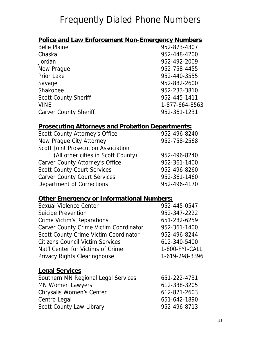## Frequently Dialed Phone Numbers

| <b>Police and Law Enforcement Non-Emergency Numbers</b> |                |
|---------------------------------------------------------|----------------|
| <b>Belle Plaine</b>                                     | 952-873-4307   |
| Chaska                                                  | 952-448-4200   |
| Jordan                                                  | 952-492-2009   |
| New Prague                                              | 952-758-4455   |
| <b>Prior Lake</b>                                       | 952-440-3555   |
| Savage                                                  | 952-882-2600   |
| Shakopee                                                | 952-233-3810   |
| <b>Scott County Sheriff</b>                             | 952-445-1411   |
| <b>VINE</b>                                             | 1-877-664-8563 |
| <b>Carver County Sheriff</b>                            | 952-361-1231   |

#### **Prosecuting Attorneys and Probation Departments:**

| Scott County Attorney's Office      | 952-496-8240 |
|-------------------------------------|--------------|
| New Prague City Attorney            | 952-758-2568 |
| Scott Joint Prosecution Association |              |
| (All other cities in Scott County)  | 952-496-8240 |
| Carver County Attorney's Office     | 952-361-1400 |
| <b>Scott County Court Services</b>  | 952-496-8260 |
| <b>Carver County Court Services</b> | 952-361-1460 |
| Department of Corrections           | 952-496-4170 |

| <b>Other Emergency or Informational Numbers:</b> |                |  |
|--------------------------------------------------|----------------|--|
| Sexual Violence Center                           | 952-445-0547   |  |
| Suicide Prevention                               | 952-347-2222   |  |
| Crime Victim's Reparations                       | 651-282-6259   |  |
| Carver County Crime Victim Coordinator           | 952-361-1400   |  |
| Scott County Crime Victim Coordinator            | 952-496-8244   |  |
| <b>Citizens Council Victim Services</b>          | 612-340-5400   |  |
| Nat'l Center for Victims of Crime                | 1-800-FYI-CALL |  |
| Privacy Rights Clearinghouse                     | 1-619-298-3396 |  |
| <b>Legal Services</b>                            |                |  |
| Southern MN Regional Legal Services              | 651-222-4731   |  |
| <b>MN Women Lawyers</b>                          | 612-338-3205   |  |
| Chrysalis Women's Center                         | 612-871-2603   |  |
| Centro Legal                                     | 651-642-1890   |  |
| Scott County Law Library                         | 952-496-8713   |  |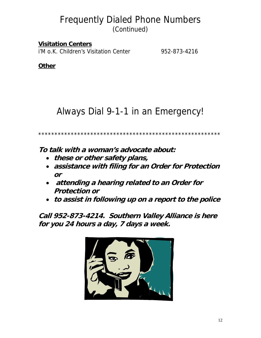#### Frequently Dialed Phone Numbers (Continued)

**Visitation Centers** i'M o.K. Children's Visitation Center 952-873-4216

**Other**

#### Always Dial 9-1-1 in an Emergency!

\*\*\*\*\*\*\*\*\*\*\*\*\*\*\*\*\*\*\*\*\*\*\*\*\*\*\*\*\*\*\*\*\*\*\*\*\*\*\*\*\*\*\*\*\*\*\*\*\*\*\*\*\*\*\*\*

**To talk with a woman's advocate about:** 

- **these or other safety plans,**
- **assistance with filing for an Order for Protection or**
- **attending a hearing related to an Order for Protection or**
- **to assist in following up on a report to the police**

**Call 952-873-4214. Southern Valley Alliance is here for you 24 hours a day, 7 days a week.**